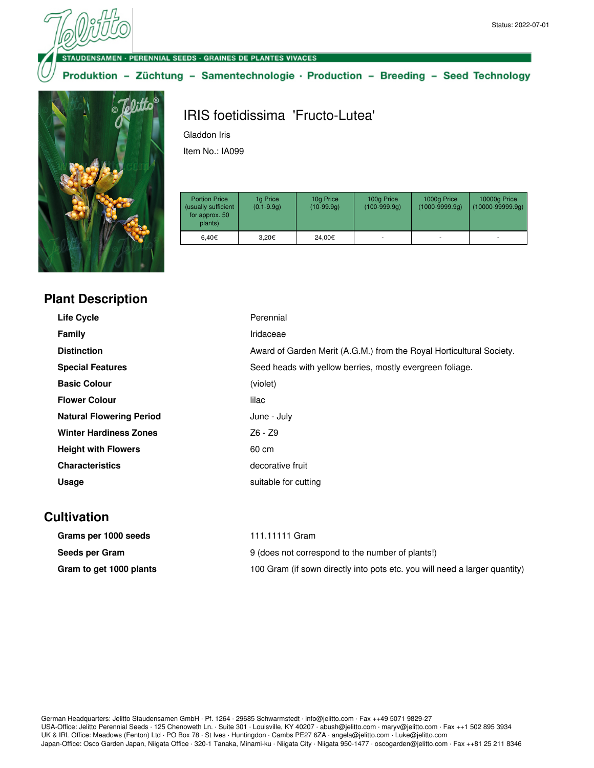

DENSAMEN - PERENNIAL SEEDS - GRAINES DE PLANTES VIVACES

Produktion - Züchtung - Samentechnologie · Production - Breeding - Seed Technology



## IRIS foetidissima 'Fructo-Lutea'

Gladdon Iris

Item No.: IA099

| <b>Portion Price</b><br>(usually sufficient<br>for approx. 50<br>plants) | 1g Price<br>$(0.1 - 9.9q)$ | 10g Price<br>$(10-99.9q)$ | 100g Price<br>$(100-999.9q)$ | 1000g Price<br>$(1000 - 9999.9q)$ | 10000g Price<br>$(10000 - 99999.9q)$ |
|--------------------------------------------------------------------------|----------------------------|---------------------------|------------------------------|-----------------------------------|--------------------------------------|
| 6.40€                                                                    | 3.20€                      | 24.00€                    | ۰                            |                                   | ۰                                    |

|  |  | <b>Plant Description</b> |
|--|--|--------------------------|
|--|--|--------------------------|

| <b>Life Cycle</b>               | Perennial                                                            |
|---------------------------------|----------------------------------------------------------------------|
| Family                          | Iridaceae                                                            |
| <b>Distinction</b>              | Award of Garden Merit (A.G.M.) from the Royal Horticultural Society. |
| <b>Special Features</b>         | Seed heads with yellow berries, mostly evergreen foliage.            |
| <b>Basic Colour</b>             | (violet)                                                             |
| <b>Flower Colour</b>            | lilac                                                                |
| <b>Natural Flowering Period</b> | June - July                                                          |
| <b>Winter Hardiness Zones</b>   | Z6 - Z9                                                              |
| <b>Height with Flowers</b>      | 60 cm                                                                |
| <b>Characteristics</b>          | decorative fruit                                                     |
| Usage                           | suitable for cutting                                                 |

## **Cultivation**

| Grams per 1000 seeds    | 111.11111 Gram                                                             |
|-------------------------|----------------------------------------------------------------------------|
| Seeds per Gram          | 9 (does not correspond to the number of plants!)                           |
| Gram to get 1000 plants | 100 Gram (if sown directly into pots etc. you will need a larger quantity) |